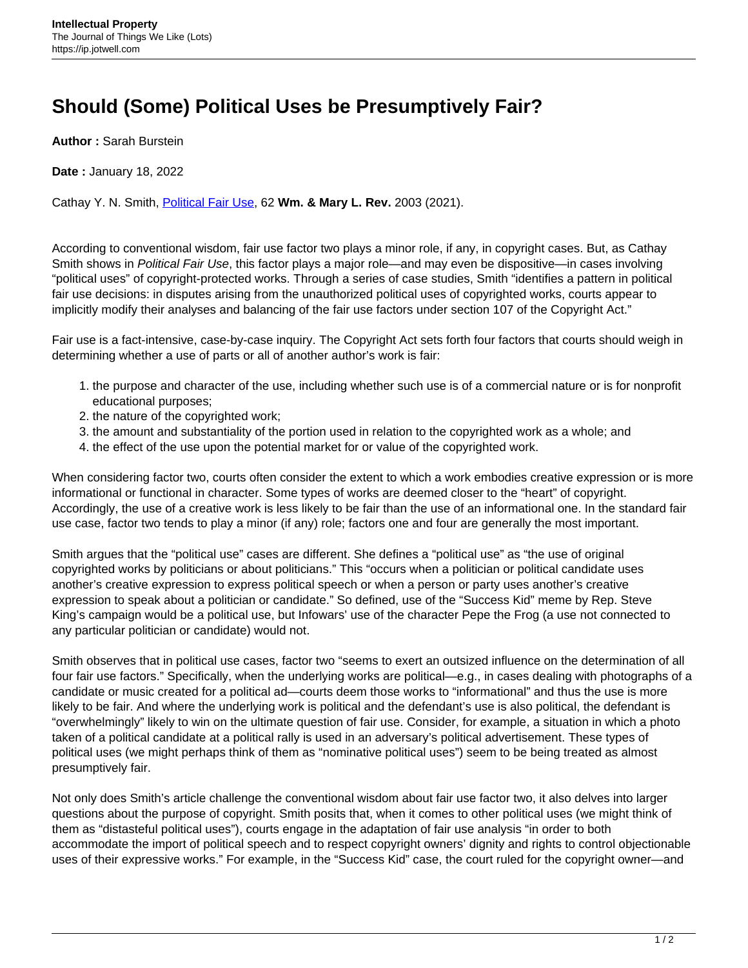## **Should (Some) Political Uses be Presumptively Fair?**

**Author :** Sarah Burstein

**Date :** January 18, 2022

Cathay Y. N. Smith, [Political Fair Use](https://wmlawreview.org/political-fair-use), 62 **Wm. & Mary L. Rev.** 2003 (2021).

According to conventional wisdom, fair use factor two plays a minor role, if any, in copyright cases. But, as Cathay Smith shows in Political Fair Use, this factor plays a major role—and may even be dispositive—in cases involving "political uses" of copyright-protected works. Through a series of case studies, Smith "identifies a pattern in political fair use decisions: in disputes arising from the unauthorized political uses of copyrighted works, courts appear to implicitly modify their analyses and balancing of the fair use factors under section 107 of the Copyright Act."

Fair use is a fact-intensive, case-by-case inquiry. The Copyright Act sets forth four factors that courts should weigh in determining whether a use of parts or all of another author's work is fair:

- 1. the purpose and character of the use, including whether such use is of a commercial nature or is for nonprofit educational purposes;
- 2. the nature of the copyrighted work;
- 3. the amount and substantiality of the portion used in relation to the copyrighted work as a whole; and
- 4. the effect of the use upon the potential market for or value of the copyrighted work.

When considering factor two, courts often consider the extent to which a work embodies creative expression or is more informational or functional in character. Some types of works are deemed closer to the "heart" of copyright. Accordingly, the use of a creative work is less likely to be fair than the use of an informational one. In the standard fair use case, factor two tends to play a minor (if any) role; factors one and four are generally the most important.

Smith argues that the "political use" cases are different. She defines a "political use" as "the use of original copyrighted works by politicians or about politicians." This "occurs when a politician or political candidate uses another's creative expression to express political speech or when a person or party uses another's creative expression to speak about a politician or candidate." So defined, use of the "Success Kid" meme by Rep. Steve King's campaign would be a political use, but Infowars' use of the character Pepe the Frog (a use not connected to any particular politician or candidate) would not.

Smith observes that in political use cases, factor two "seems to exert an outsized influence on the determination of all four fair use factors." Specifically, when the underlying works are political—e.g., in cases dealing with photographs of a candidate or music created for a political ad—courts deem those works to "informational" and thus the use is more likely to be fair. And where the underlying work is political and the defendant's use is also political, the defendant is "overwhelmingly" likely to win on the ultimate question of fair use. Consider, for example, a situation in which a photo taken of a political candidate at a political rally is used in an adversary's political advertisement. These types of political uses (we might perhaps think of them as "nominative political uses") seem to be being treated as almost presumptively fair.

Not only does Smith's article challenge the conventional wisdom about fair use factor two, it also delves into larger questions about the purpose of copyright. Smith posits that, when it comes to other political uses (we might think of them as "distasteful political uses"), courts engage in the adaptation of fair use analysis "in order to both accommodate the import of political speech and to respect copyright owners' dignity and rights to control objectionable uses of their expressive works." For example, in the "Success Kid" case, the court ruled for the copyright owner—and